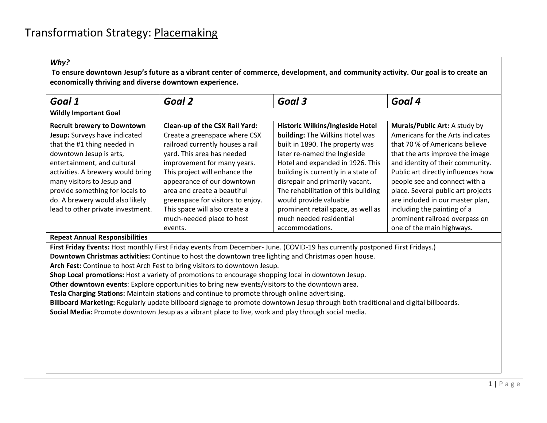| Goal 1                                                                                                                                                                                                                                                                                                                                     | Goal 2                                                                                                                                                                                                                                                                                                                                                                                                                                                                                                                                                                                                | Goal 3                                                                                                                                                                                                                                                                                                                                                                                                    | Goal 4                                                                                                                                                                                                                                                                                                                                                                                                                    |
|--------------------------------------------------------------------------------------------------------------------------------------------------------------------------------------------------------------------------------------------------------------------------------------------------------------------------------------------|-------------------------------------------------------------------------------------------------------------------------------------------------------------------------------------------------------------------------------------------------------------------------------------------------------------------------------------------------------------------------------------------------------------------------------------------------------------------------------------------------------------------------------------------------------------------------------------------------------|-----------------------------------------------------------------------------------------------------------------------------------------------------------------------------------------------------------------------------------------------------------------------------------------------------------------------------------------------------------------------------------------------------------|---------------------------------------------------------------------------------------------------------------------------------------------------------------------------------------------------------------------------------------------------------------------------------------------------------------------------------------------------------------------------------------------------------------------------|
| <b>Wildly Important Goal</b>                                                                                                                                                                                                                                                                                                               |                                                                                                                                                                                                                                                                                                                                                                                                                                                                                                                                                                                                       |                                                                                                                                                                                                                                                                                                                                                                                                           |                                                                                                                                                                                                                                                                                                                                                                                                                           |
| <b>Recruit brewery to Downtown</b><br>Jesup: Surveys have indicated<br>that the #1 thing needed in<br>downtown Jesup is arts,<br>entertainment, and cultural<br>activities. A brewery would bring<br>many visitors to Jesup and<br>provide something for locals to<br>do. A brewery would also likely<br>lead to other private investment. | Clean-up of the CSX Rail Yard:<br>Create a greenspace where CSX<br>railroad currently houses a rail<br>yard. This area has needed<br>improvement for many years.<br>This project will enhance the<br>appearance of our downtown<br>area and create a beautiful<br>greenspace for visitors to enjoy.<br>This space will also create a<br>much-needed place to host<br>events.                                                                                                                                                                                                                          | Historic Wilkins/Ingleside Hotel<br>building: The Wilkins Hotel was<br>built in 1890. The property was<br>later re-named the Ingleside<br>Hotel and expanded in 1926. This<br>building is currently in a state of<br>disrepair and primarily vacant.<br>The rehabilitation of this building<br>would provide valuable<br>prominent retail space, as well as<br>much needed residential<br>accommodations. | Murals/Public Art: A study by<br>Americans for the Arts indicates<br>that 70 % of Americans believe<br>that the arts improve the image<br>and identity of their community.<br>Public art directly influences how<br>people see and connect with a<br>place. Several public art projects<br>are included in our master plan,<br>including the painting of a<br>prominent railroad overpass on<br>one of the main highways. |
| <b>Repeat Annual Responsibilities</b>                                                                                                                                                                                                                                                                                                      |                                                                                                                                                                                                                                                                                                                                                                                                                                                                                                                                                                                                       |                                                                                                                                                                                                                                                                                                                                                                                                           |                                                                                                                                                                                                                                                                                                                                                                                                                           |
|                                                                                                                                                                                                                                                                                                                                            | Downtown Christmas activities: Continue to host the downtown tree lighting and Christmas open house.<br>Arch Fest: Continue to host Arch Fest to bring visitors to downtown Jesup.<br>Shop Local promotions: Host a variety of promotions to encourage shopping local in downtown Jesup.<br>Other downtown events: Explore opportunities to bring new events/visitors to the downtown area.<br>Tesla Charging Stations: Maintain stations and continue to promote through online advertising.<br>Social Media: Promote downtown Jesup as a vibrant place to live, work and play through social media. | First Friday Events: Host monthly First Friday events from December-June. (COVID-19 has currently postponed First Fridays.)<br>Billboard Marketing: Regularly update billboard signage to promote downtown Jesup through both traditional and digital billboards.                                                                                                                                         |                                                                                                                                                                                                                                                                                                                                                                                                                           |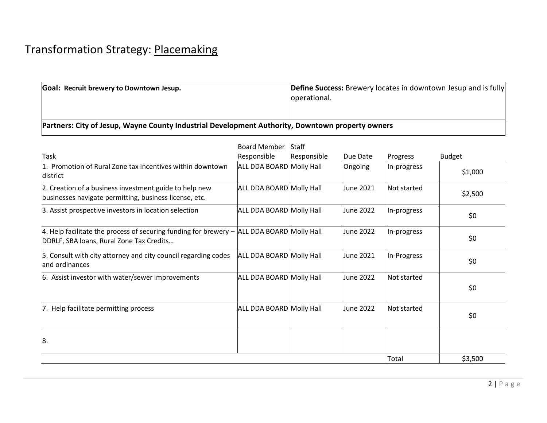## Transformation Strategy: Placemaking

| <b>Goal: Recruit brewery to Downtown Jesup.</b>                                                  | Define Success: Brewery locates in downtown Jesup and is fully |  |  |  |
|--------------------------------------------------------------------------------------------------|----------------------------------------------------------------|--|--|--|
|                                                                                                  | operational.                                                   |  |  |  |
|                                                                                                  |                                                                |  |  |  |
| Partners: City of Jesup, Wayne County Industrial Development Authority, Downtown property owners |                                                                |  |  |  |

|                                                                                                                                       | <b>Board Member</b>      | Staff       |           |             |               |
|---------------------------------------------------------------------------------------------------------------------------------------|--------------------------|-------------|-----------|-------------|---------------|
| Task                                                                                                                                  | Responsible              | Responsible | Due Date  | Progress    | <b>Budget</b> |
| 1. Promotion of Rural Zone tax incentives within downtown<br>district                                                                 | ALL DDA BOARD Molly Hall |             | Ongoing   | In-progress | \$1,000       |
| 2. Creation of a business investment guide to help new<br>businesses navigate permitting, business license, etc.                      | ALL DDA BOARD Molly Hall |             | June 2021 | Not started | \$2,500       |
| 3. Assist prospective investors in location selection                                                                                 | ALL DDA BOARD Molly Hall |             | June 2022 | In-progress | \$0           |
| 4. Help facilitate the process of securing funding for brewery - ALL DDA BOARD Molly Hall<br>DDRLF, SBA loans, Rural Zone Tax Credits |                          |             | June 2022 | In-progress | \$0           |
| 5. Consult with city attorney and city council regarding codes<br>and ordinances                                                      | ALL DDA BOARD Molly Hall |             | June 2021 | In-Progress | \$0           |
| 6. Assist investor with water/sewer improvements                                                                                      | ALL DDA BOARD Molly Hall |             | June 2022 | Not started | \$0           |
| 7. Help facilitate permitting process                                                                                                 | ALL DDA BOARD Molly Hall |             | June 2022 | Not started | \$0           |
| 8.                                                                                                                                    |                          |             |           |             |               |
|                                                                                                                                       |                          |             |           | Total       | \$3,500       |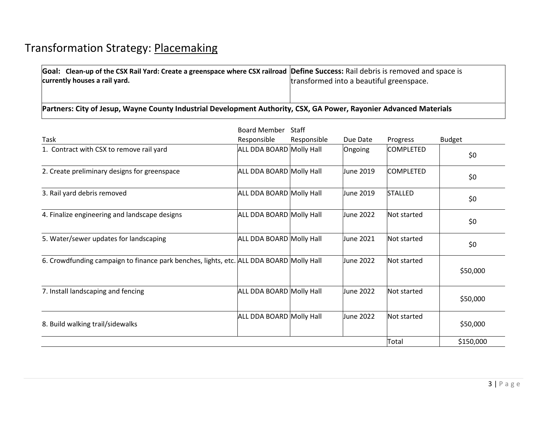| Goal: Clean-up of the CSX Rail Yard: Create a greenspace where CSX railroad Define Success: Rail debris is removed and space is |                                          |  |  |  |  |  |
|---------------------------------------------------------------------------------------------------------------------------------|------------------------------------------|--|--|--|--|--|
| currently houses a rail yard.                                                                                                   | transformed into a beautiful greenspace. |  |  |  |  |  |
|                                                                                                                                 |                                          |  |  |  |  |  |
|                                                                                                                                 |                                          |  |  |  |  |  |
| Partners: City of Jesup, Wayne County Industrial Development Authority, CSX, GA Power, Rayonier Advanced Materials              |                                          |  |  |  |  |  |

|                                                                                         | <b>Board Member Staff</b> |             |           |                  |               |
|-----------------------------------------------------------------------------------------|---------------------------|-------------|-----------|------------------|---------------|
| Task                                                                                    | Responsible               | Responsible | Due Date  | Progress         | <b>Budget</b> |
| 1. Contract with CSX to remove rail yard                                                | ALL DDA BOARD Molly Hall  |             | Ongoing   | <b>COMPLETED</b> | \$0           |
| 2. Create preliminary designs for greenspace                                            | ALL DDA BOARD Molly Hall  |             | June 2019 | icompleted       | \$0           |
| 3. Rail yard debris removed                                                             | ALL DDA BOARD Molly Hall  |             | June 2019 | <b>STALLED</b>   | \$0           |
| 4. Finalize engineering and landscape designs                                           | ALL DDA BOARD Molly Hall  |             | June 2022 | Not started      | \$0           |
| 5. Water/sewer updates for landscaping                                                  | ALL DDA BOARD Molly Hall  |             | June 2021 | lNot started     | \$0           |
| 6. Crowdfunding campaign to finance park benches, lights, etc. ALL DDA BOARD Molly Hall |                           |             | June 2022 | Not started      | \$50,000      |
| 7. Install landscaping and fencing                                                      | ALL DDA BOARD Molly Hall  |             | June 2022 | Not started      | \$50,000      |
| 8. Build walking trail/sidewalks                                                        | ALL DDA BOARD Molly Hall  |             | June 2022 | Not started      | \$50,000      |
|                                                                                         |                           |             |           | Total            | \$150,000     |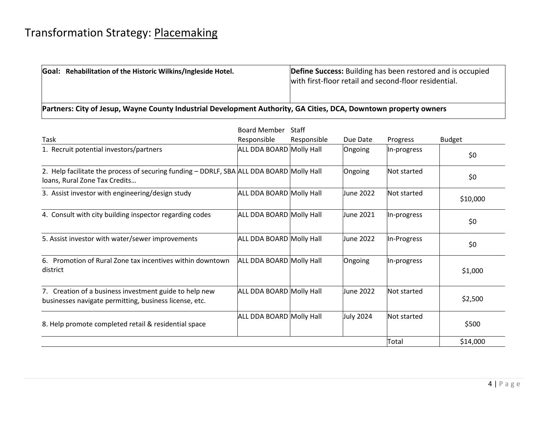| Goal: Rehabilitation of the Historic Wilkins/Ingleside Hotel.                                                    | <b>Define Success:</b> Building has been restored and is occupied<br>with first-floor retail and second-floor residential. |  |  |  |  |
|------------------------------------------------------------------------------------------------------------------|----------------------------------------------------------------------------------------------------------------------------|--|--|--|--|
| Partners: City of Jesup, Wayne County Industrial Development Authority, GA Cities, DCA, Downtown property owners |                                                                                                                            |  |  |  |  |

|                                                                                                                           | Board Member             | Staff       |                  |              |               |
|---------------------------------------------------------------------------------------------------------------------------|--------------------------|-------------|------------------|--------------|---------------|
| Task                                                                                                                      | Responsible              | Responsible | Due Date         | Progress     | <b>Budget</b> |
| 1. Recruit potential investors/partners                                                                                   | ALL DDA BOARD Molly Hall |             | Ongoing          | In-progress  | \$0           |
| 2. Help facilitate the process of securing funding - DDRLF, SBA ALL DDA BOARD Molly Hall<br>loans, Rural Zone Tax Credits |                          |             | Ongoing          | Not started  | \$0           |
| 3. Assist investor with engineering/design study                                                                          | ALL DDA BOARD Molly Hall |             | Uune 2022        | lNot started | \$10,000      |
| 4. Consult with city building inspector regarding codes                                                                   | ALL DDA BOARD Molly Hall |             | June 2021        | In-progress  | \$0           |
| 5. Assist investor with water/sewer improvements                                                                          | ALL DDA BOARD Molly Hall |             | June 2022        | In-Progress  | \$0           |
| 6. Promotion of Rural Zone tax incentives within downtown<br>district                                                     | ALL DDA BOARD Molly Hall |             | Ongoing          | In-progress  | \$1,000       |
| 7. Creation of a business investment guide to help new<br>businesses navigate permitting, business license, etc.          | ALL DDA BOARD Molly Hall |             | June 2022        | Not started  | \$2,500       |
| 8. Help promote completed retail & residential space                                                                      | ALL DDA BOARD Molly Hall |             | <b>July 2024</b> | Not started  | \$500         |
|                                                                                                                           |                          |             |                  | Total        | \$14,000      |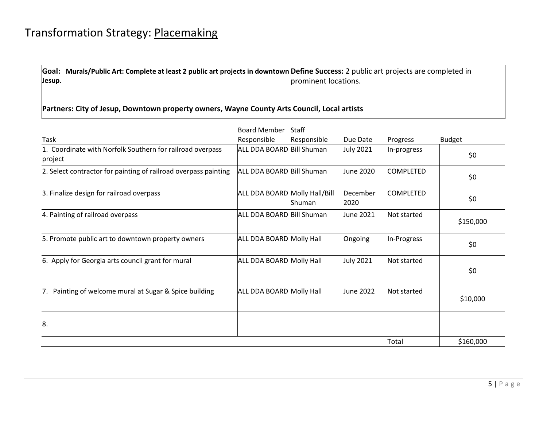|        | Goal: Murals/Public Art: Complete at least 2 public art projects in downtown Define Success: 2 public art projects are completed in |                      |
|--------|-------------------------------------------------------------------------------------------------------------------------------------|----------------------|
| Jesup. |                                                                                                                                     | prominent locations. |

**Partners: City of Jesup, Downtown property owners, Wayne County Arts Council, Local artists**

|                                                                      | <b>Board Member</b>           | Staff         |                  |                  |               |
|----------------------------------------------------------------------|-------------------------------|---------------|------------------|------------------|---------------|
| Task                                                                 | Responsible                   | Responsible   | Due Date         | Progress         | <b>Budget</b> |
| 1. Coordinate with Norfolk Southern for railroad overpass<br>project | ALL DDA BOARD Bill Shuman     |               | <b>July 2021</b> | In-progress      | \$0           |
| 2. Select contractor for painting of railroad overpass painting      | ALL DDA BOARD Bill Shuman     |               | June 2020        | <b>COMPLETED</b> | \$0           |
| 3. Finalize design for railroad overpass                             | ALL DDA BOARD Molly Hall/Bill | <b>Shuman</b> | December<br>2020 | <b>COMPLETED</b> | \$0           |
| 4. Painting of railroad overpass                                     | ALL DDA BOARD Bill Shuman     |               | June 2021        | Not started      | \$150,000     |
| 5. Promote public art to downtown property owners                    | ALL DDA BOARD Molly Hall      |               | Ongoing          | In-Progress      | \$0           |
| 6. Apply for Georgia arts council grant for mural                    | ALL DDA BOARD Molly Hall      |               | <b>July 2021</b> | Not started      | \$0           |
| 7. Painting of welcome mural at Sugar & Spice building               | ALL DDA BOARD Molly Hall      |               | June 2022        | Not started      | \$10,000      |
| 8.                                                                   |                               |               |                  |                  |               |
|                                                                      |                               |               |                  | Total            | \$160,000     |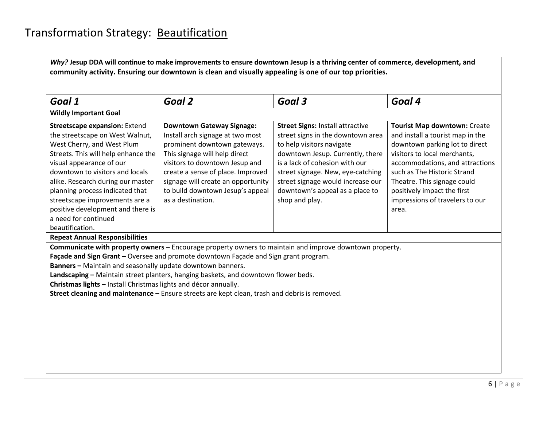| Goal 1                                                                                                                                                                                                                                                                                                                                                                                                                                                                                                                 | Goal 2                                                                                                                                                                                                                                                                                                      | Goal 3                                                                                                                                                                                                                                                                                                         | Goal 4                                                                                                                                                                                                                                                                                                                |  |  |  |
|------------------------------------------------------------------------------------------------------------------------------------------------------------------------------------------------------------------------------------------------------------------------------------------------------------------------------------------------------------------------------------------------------------------------------------------------------------------------------------------------------------------------|-------------------------------------------------------------------------------------------------------------------------------------------------------------------------------------------------------------------------------------------------------------------------------------------------------------|----------------------------------------------------------------------------------------------------------------------------------------------------------------------------------------------------------------------------------------------------------------------------------------------------------------|-----------------------------------------------------------------------------------------------------------------------------------------------------------------------------------------------------------------------------------------------------------------------------------------------------------------------|--|--|--|
| <b>Wildly Important Goal</b>                                                                                                                                                                                                                                                                                                                                                                                                                                                                                           |                                                                                                                                                                                                                                                                                                             |                                                                                                                                                                                                                                                                                                                |                                                                                                                                                                                                                                                                                                                       |  |  |  |
| Streetscape expansion: Extend<br>the streetscape on West Walnut,<br>West Cherry, and West Plum<br>Streets. This will help enhance the<br>visual appearance of our<br>downtown to visitors and locals<br>alike. Research during our master<br>planning process indicated that<br>streetscape improvements are a<br>positive development and there is<br>a need for continued<br>beautification.                                                                                                                         | <b>Downtown Gateway Signage:</b><br>Install arch signage at two most<br>prominent downtown gateways.<br>This signage will help direct<br>visitors to downtown Jesup and<br>create a sense of place. Improved<br>signage will create an opportunity<br>to build downtown Jesup's appeal<br>as a destination. | <b>Street Signs: Install attractive</b><br>street signs in the downtown area<br>to help visitors navigate<br>downtown Jesup. Currently, there<br>is a lack of cohesion with our<br>street signage. New, eye-catching<br>street signage would increase our<br>downtown's appeal as a place to<br>shop and play. | <b>Tourist Map downtown: Create</b><br>and install a tourist map in the<br>downtown parking lot to direct<br>visitors to local merchants,<br>accommodations, and attractions<br>such as The Historic Strand<br>Theatre. This signage could<br>positively impact the first<br>impressions of travelers to our<br>area. |  |  |  |
| <b>Repeat Annual Responsibilities</b>                                                                                                                                                                                                                                                                                                                                                                                                                                                                                  |                                                                                                                                                                                                                                                                                                             |                                                                                                                                                                                                                                                                                                                |                                                                                                                                                                                                                                                                                                                       |  |  |  |
| Communicate with property owners - Encourage property owners to maintain and improve downtown property.<br>Façade and Sign Grant - Oversee and promote downtown Façade and Sign grant program.<br>Banners - Maintain and seasonally update downtown banners.<br>Landscaping - Maintain street planters, hanging baskets, and downtown flower beds.<br>Christmas lights - Install Christmas lights and décor annually.<br>Street cleaning and maintenance - Ensure streets are kept clean, trash and debris is removed. |                                                                                                                                                                                                                                                                                                             |                                                                                                                                                                                                                                                                                                                |                                                                                                                                                                                                                                                                                                                       |  |  |  |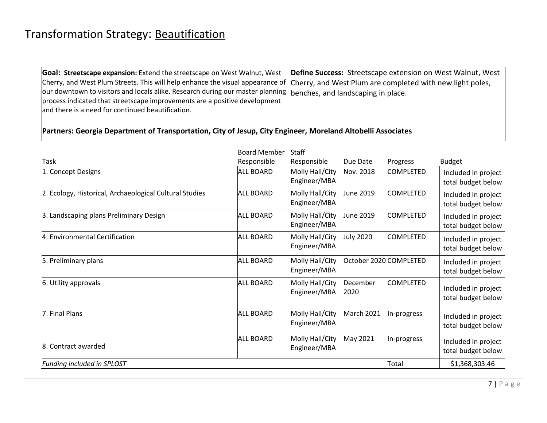## Transformation Strategy: Beautification

| Goal: Streetscape expansion: Extend the streetscape on West Walnut, West                                                                 | Define Success: Streetscape extension on West Walnut, West |
|------------------------------------------------------------------------------------------------------------------------------------------|------------------------------------------------------------|
| Cherry, and West Plum Streets. This will help enhance the visual appearance of Cherry, and West Plum are completed with new light poles, |                                                            |
| our downtown to visitors and locals alike. Research during our master planning benches, and landscaping in place.                        |                                                            |
| process indicated that streetscape improvements are a positive development                                                               |                                                            |
| and there is a need for continued beautification.                                                                                        |                                                            |
|                                                                                                                                          |                                                            |
|                                                                                                                                          |                                                            |

**Partners: Georgia Department of Transportation, City of Jesup, City Engineer, Moreland Altobelli Associates**

|                                                         | <b>Board Member</b> | <b>Staff</b>                    |                        |                  |                                           |
|---------------------------------------------------------|---------------------|---------------------------------|------------------------|------------------|-------------------------------------------|
| Task                                                    | Responsible         | Responsible                     | Due Date               | Progress         | <b>Budget</b>                             |
| 1. Concept Designs                                      | <b>ALL BOARD</b>    | Molly Hall/City<br>Engineer/MBA | Nov. 2018              | <b>COMPLETED</b> | Included in project<br>total budget below |
| 2. Ecology, Historical, Archaeological Cultural Studies | <b>ALL BOARD</b>    | Molly Hall/City<br>Engineer/MBA | June 2019              | <b>COMPLETED</b> | Included in project<br>total budget below |
| 3. Landscaping plans Preliminary Design                 | <b>ALL BOARD</b>    | Molly Hall/City<br>Engineer/MBA | June 2019              | <b>COMPLETED</b> | Included in project<br>total budget below |
| 4. Environmental Certification                          | <b>ALL BOARD</b>    | Molly Hall/City<br>Engineer/MBA | July 2020              | <b>COMPLETED</b> | Included in project<br>total budget below |
| 5. Preliminary plans                                    | <b>ALL BOARD</b>    | Molly Hall/City<br>Engineer/MBA | October 2020 COMPLETED |                  | Included in project<br>total budget below |
| 6. Utility approvals                                    | <b>ALL BOARD</b>    | Molly Hall/City<br>Engineer/MBA | December<br>2020       | <b>COMPLETED</b> | Included in project<br>total budget below |
| 7. Final Plans                                          | <b>ALL BOARD</b>    | Molly Hall/City<br>Engineer/MBA | March 2021             | In-progress      | Included in project<br>total budget below |
| 8. Contract awarded                                     | <b>ALL BOARD</b>    | Molly Hall/City<br>Engineer/MBA | May 2021               | In-progress      | Included in project<br>total budget below |
| Funding included in SPLOST                              |                     |                                 |                        | Total            | \$1,368,303.46                            |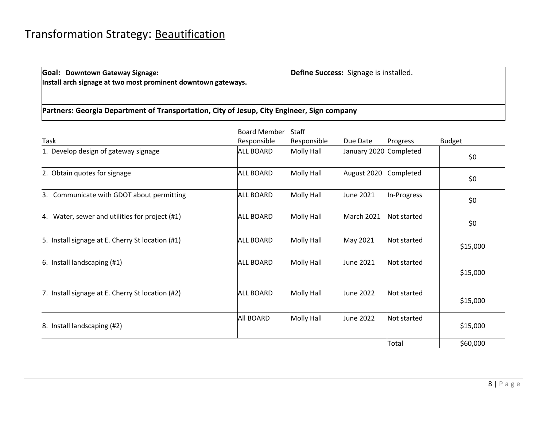**Goal: Downtown Gateway Signage: Install arch signage at two most prominent downtown gateways.** **Define Success:** Signage is installed.

**Partners: Georgia Department of Transportation, City of Jesup, City Engineer, Sign company**

|                                                  | <b>Board Member</b> | Staff       |                        |             |               |
|--------------------------------------------------|---------------------|-------------|------------------------|-------------|---------------|
| Task                                             | Responsible         | Responsible | Due Date               | Progress    | <b>Budget</b> |
| 1. Develop design of gateway signage             | <b>ALL BOARD</b>    | Molly Hall  | January 2020 Completed |             | \$0           |
| 2. Obtain quotes for signage                     | <b>ALL BOARD</b>    | Molly Hall  | August 2020            | Completed   | \$0           |
| 3. Communicate with GDOT about permitting        | <b>ALL BOARD</b>    | Molly Hall  | June 2021              | In-Progress | \$0           |
| 4. Water, sewer and utilities for project (#1)   | <b>ALL BOARD</b>    | Molly Hall  | March 2021             | Not started | \$0           |
| 5. Install signage at E. Cherry St location (#1) | <b>ALL BOARD</b>    | Molly Hall  | May 2021               | Not started | \$15,000      |
| 6. Install landscaping (#1)                      | <b>ALL BOARD</b>    | Molly Hall  | June 2021              | Not started | \$15,000      |
| 7. Install signage at E. Cherry St location (#2) | <b>ALL BOARD</b>    | Molly Hall  | June 2022              | Not started | \$15,000      |
| 8. Install landscaping (#2)                      | <b>All BOARD</b>    | Molly Hall  | June 2022              | Not started | \$15,000      |
|                                                  |                     |             |                        | Total       | \$60,000      |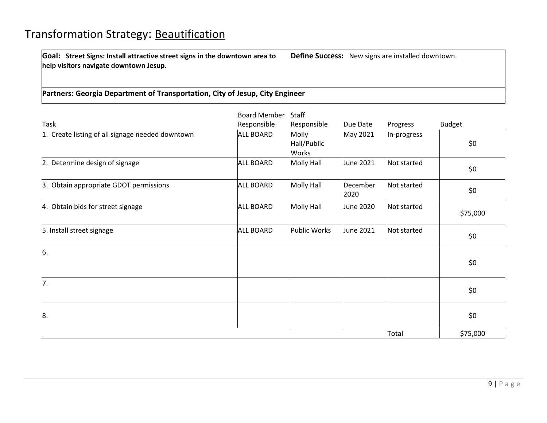| Goal: Street Signs: Install attractive street signs in the downtown area to<br>help visitors navigate downtown Jesup. | <b>Define Success:</b> New signs are installed downtown. |  |  |  |  |  |
|-----------------------------------------------------------------------------------------------------------------------|----------------------------------------------------------|--|--|--|--|--|
| Partners: Georgia Department of Transportation, City of Jesup, City Engineer                                          |                                                          |  |  |  |  |  |

|                                                  | <b>Board Member</b> | Staff                         |                  |             |               |
|--------------------------------------------------|---------------------|-------------------------------|------------------|-------------|---------------|
| Task                                             | Responsible         | Responsible                   | Due Date         | Progress    | <b>Budget</b> |
| 1. Create listing of all signage needed downtown | <b>ALL BOARD</b>    | Molly<br>Hall/Public<br>Works | May 2021         | In-progress | \$0           |
| 2. Determine design of signage                   | <b>ALL BOARD</b>    | Molly Hall                    | June 2021        | Not started | \$0           |
| 3. Obtain appropriate GDOT permissions           | <b>ALL BOARD</b>    | <b>Molly Hall</b>             | December<br>2020 | Not started | \$0           |
| 4. Obtain bids for street signage                | <b>ALL BOARD</b>    | <b>Molly Hall</b>             | June 2020        | Not started | \$75,000      |
| 5. Install street signage                        | <b>ALL BOARD</b>    | <b>Public Works</b>           | June 2021        | Not started | \$0           |
| 6.                                               |                     |                               |                  |             | \$0           |
| 7.                                               |                     |                               |                  |             | \$0           |
| 8.                                               |                     |                               |                  |             | \$0           |
|                                                  |                     |                               |                  | Total       | \$75,000      |